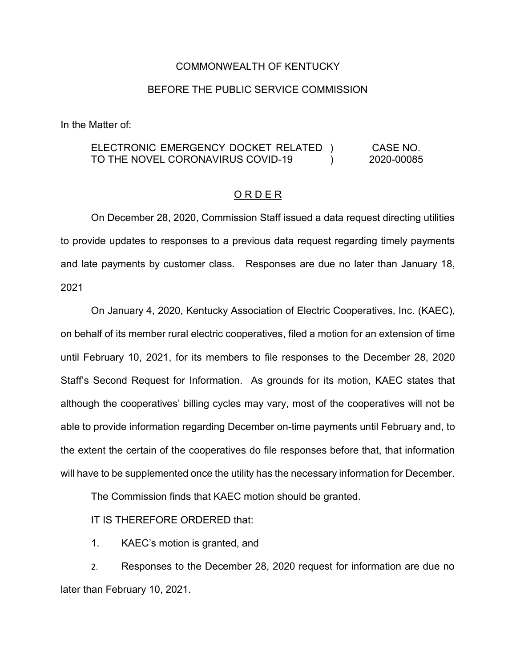## COMMONWEALTH OF KENTUCKY

## BEFORE THE PUBLIC SERVICE COMMISSION

In the Matter of:

## ELECTRONIC EMERGENCY DOCKET RELATED ) TO THE NOVEL CORONAVIRUS COVID-19  $\lambda$ CASE NO. 2020-00085

## O R D E R

On December 28, 2020, Commission Staff issued a data request directing utilities to provide updates to responses to a previous data request regarding timely payments and late payments by customer class. Responses are due no later than January 18, 2021

On January 4, 2020, Kentucky Association of Electric Cooperatives, Inc. (KAEC), on behalf of its member rural electric cooperatives, filed a motion for an extension of time until February 10, 2021, for its members to file responses to the December 28, 2020 Staff's Second Request for Information. As grounds for its motion, KAEC states that although the cooperatives' billing cycles may vary, most of the cooperatives will not be able to provide information regarding December on-time payments until February and, to the extent the certain of the cooperatives do file responses before that, that information will have to be supplemented once the utility has the necessary information for December.

The Commission finds that KAEC motion should be granted.

IT IS THEREFORE ORDERED that:

1. KAEC's motion is granted, and

2. Responses to the December 28, 2020 request for information are due no later than February 10, 2021.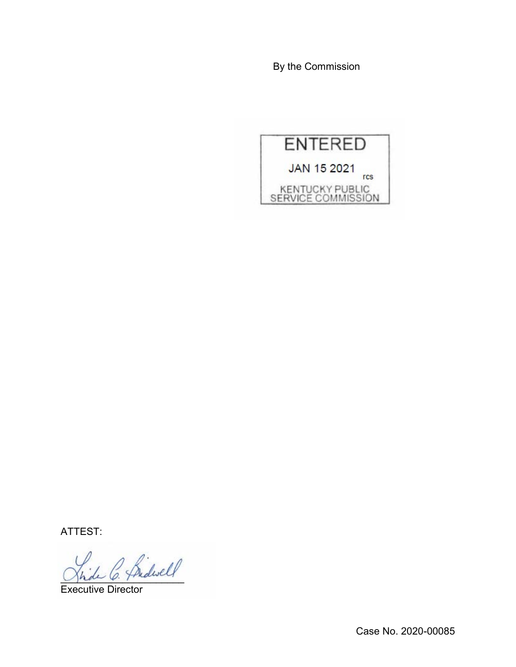By the Commission



ATTEST:

2 Bidwell

Executive Director

Case No. 2020-00085